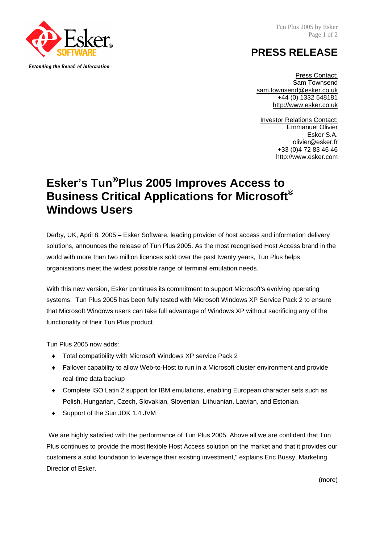Tun Plus 2005 by Esker Page 1 of 2

## **PRESS RELEASE**

Press Contact: Sam Townsend sam.townsend@esker.co.uk +44 (0) 1332 548181 http://www.esker.co.uk

**Investor Relations Contact:** Emmanuel Olivier Esker S.A. olivier@esker.fr +33 (0)4 72 83 46 46 [http://www.esker.com](http://www.esker.com/)

## **Esker's Tun**®**Plus 2005 Improves Access to Business Critical Applications for Microsoft® Windows Users**

Derby, UK, April 8, 2005 – Esker Software, leading provider of host access and information delivery solutions, announces the release of Tun Plus 2005. As the most recognised Host Access brand in the world with more than two million licences sold over the past twenty years, Tun Plus helps organisations meet the widest possible range of terminal emulation needs.

With this new version, Esker continues its commitment to support Microsoft's evolving operating systems. Tun Plus 2005 has been fully tested with Microsoft Windows XP Service Pack 2 to ensure that Microsoft Windows users can take full advantage of Windows XP without sacrificing any of the functionality of their Tun Plus product.

Tun Plus 2005 now adds:

- ♦ Total compatibility with Microsoft Windows XP service Pack 2
- ♦ Failover capability to allow Web-to-Host to run in a Microsoft cluster environment and provide real-time data backup
- ♦ Complete ISO Latin 2 support for IBM emulations, enabling European character sets such as Polish, Hungarian, Czech, Slovakian, Slovenian, Lithuanian, Latvian, and Estonian.
- ♦ Support of the Sun JDK 1.4 JVM

"We are highly satisfied with the performance of Tun Plus 2005. Above all we are confident that Tun Plus continues to provide the most flexible Host Access solution on the market and that it provides our customers a solid foundation to leverage their existing investment," explains Eric Bussy, Marketing Director of Esker.

(more)



**Extending the Reach of Information**